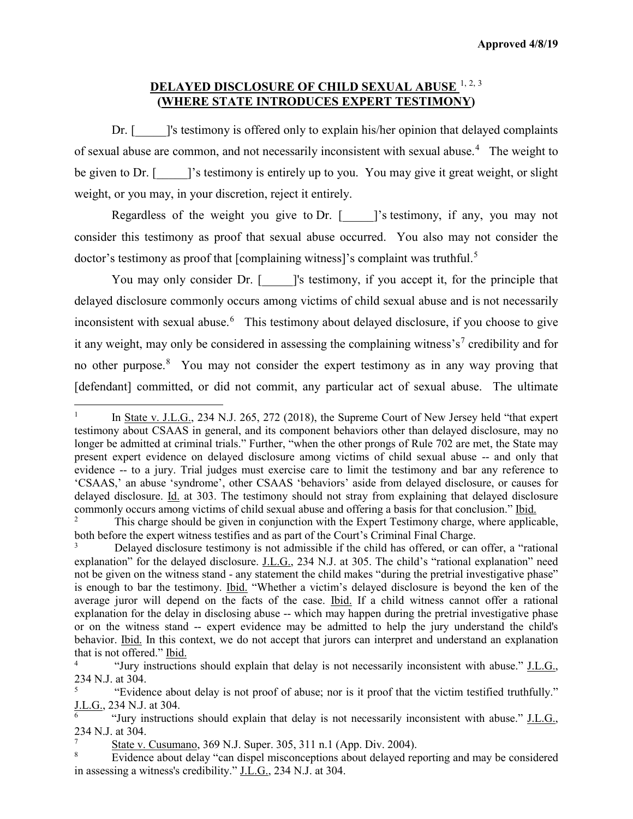## **DELAYED DISCLOSURE OF CHILD SEXUAL ABUSE** [1](#page-0-0), [2,](#page-0-1) [3](#page-0-2) **(WHERE STATE INTRODUCES EXPERT TESTIMONY)**

Dr. [  $\blacksquare$  ]'s testimony is offered only to explain his/her opinion that delayed complaints of sexual abuse are common, and not necessarily inconsistent with sexual abuse.<sup>[4](#page-0-3)</sup> The weight to be given to Dr. [ ]'s testimony is entirely up to you. You may give it great weight, or slight weight, or you may, in your discretion, reject it entirely.

Regardless of the weight you give to Dr.  $\lceil \cdot \cdot \rceil$ 's testimony, if any, you may not consider this testimony as proof that sexual abuse occurred. You also may not consider the doctor's testimony as proof that [complaining witness]'s complaint was truthful.<sup>[5](#page-0-4)</sup>

You may only consider Dr. [ \_\_\_\_]'s testimony, if you accept it, for the principle that delayed disclosure commonly occurs among victims of child sexual abuse and is not necessarily inconsistent with sexual abuse.<sup>[6](#page-0-5)</sup> This testimony about delayed disclosure, if you choose to give it any weight, may only be considered in assessing the complaining witness's<sup>[7](#page-0-6)</sup> credibility and for no other purpose.<sup>[8](#page-0-7)</sup> You may not consider the expert testimony as in any way proving that [defendant] committed, or did not commit, any particular act of sexual abuse. The ultimate

 $\overline{a}$ 

<span id="page-0-0"></span>In State v. J.L.G., 234 N.J. 265, 272 (2018), the Supreme Court of New Jersey held "that expert testimony about CSAAS in general, and its component behaviors other than delayed disclosure, may no longer be admitted at criminal trials." Further, "when the other prongs of Rule 702 are met, the State may present expert evidence on delayed disclosure among victims of child sexual abuse -- and only that evidence -- to a jury. Trial judges must exercise care to limit the testimony and bar any reference to 'CSAAS,' an abuse 'syndrome', other CSAAS 'behaviors' aside from delayed disclosure, or causes for delayed disclosure. Id. at 303. The testimony should not stray from explaining that delayed disclosure commonly occurs among victims of child sexual abuse and offering a basis for that conclusion." <u>Ibid.</u><br><sup>2</sup> This charge should be given in conjunction with the Export Testimony charge, where emlige

<span id="page-0-1"></span><sup>2</sup> This charge should be given in conjunction with the Expert Testimony charge, where applicable, both before the expert witness testifies and as part of the Court's Criminal Final Charge.

<span id="page-0-2"></span>Delayed disclosure testimony is not admissible if the child has offered, or can offer, a "rational explanation" for the delayed disclosure. J.L.G., 234 N.J. at 305. The child's "rational explanation" need not be given on the witness stand - any statement the child makes "during the pretrial investigative phase" is enough to bar the testimony. Ibid. "Whether a victim's delayed disclosure is beyond the ken of the average juror will depend on the facts of the case. Ibid. If a child witness cannot offer a rational explanation for the delay in disclosing abuse -- which may happen during the pretrial investigative phase or on the witness stand -- expert evidence may be admitted to help the jury understand the child's behavior. Ibid. In this context, we do not accept that jurors can interpret and understand an explanation that is not offered." Ibid.

<span id="page-0-3"></span><sup>4</sup> "Jury instructions should explain that delay is not necessarily inconsistent with abuse." J.L.G., 234 N.J. at 304.

<span id="page-0-4"></span><sup>5</sup> "Evidence about delay is not proof of abuse; nor is it proof that the victim testified truthfully." J.L.G., 234 N.J. at 304.

<span id="page-0-5"></span><sup>6</sup> "Jury instructions should explain that delay is not necessarily inconsistent with abuse." J.L.G., 234 N.J. at 304.

State v. Cusumano, 369 N.J. Super. 305, 311 n.1 (App. Div. 2004).

<span id="page-0-7"></span><span id="page-0-6"></span>Evidence about delay "can dispel misconceptions about delayed reporting and may be considered in assessing a witness's credibility." J.L.G., 234 N.J. at 304.